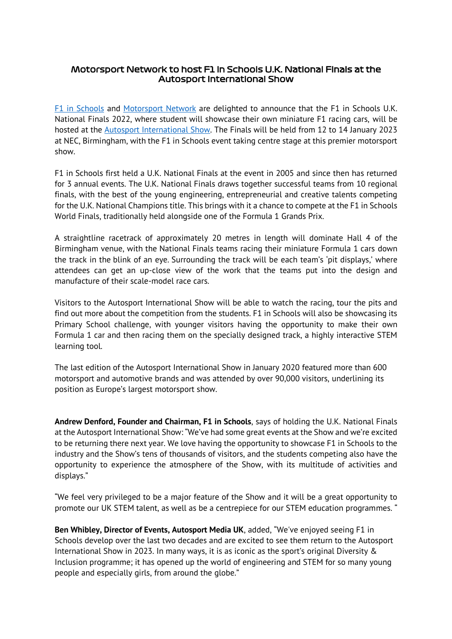## Motorsport Network to host F1 in Schools U.K. National Finals at the Autosport International Show

[F1 in Schools](https://www.f1inschools.co.uk/) and [Motorsport Network](https://www.motorsportnetwork.com/#about-us) are delighted to announce that the F1 in Schools U.K. National Finals 2022, where student will showcase their own miniature F1 racing cars, will be hosted at the [Autosport International Show.](https://www.autosportinternational.com/) The Finals will be held from 12 to 14 January 2023 at NEC, Birmingham, with the F1 in Schools event taking centre stage at this premier motorsport show.

F1 in Schools first held a U.K. National Finals at the event in 2005 and since then has returned for 3 annual events. The U.K. National Finals draws together successful teams from 10 regional finals, with the best of the young engineering, entrepreneurial and creative talents competing for the U.K. National Champions title. This brings with it a chance to compete at the F1 in Schools World Finals, traditionally held alongside one of the Formula 1 Grands Prix.

A straightline racetrack of approximately 20 metres in length will dominate Hall 4 of the Birmingham venue, with the National Finals teams racing their miniature Formula 1 cars down the track in the blink of an eye. Surrounding the track will be each team's 'pit displays,' where attendees can get an up-close view of the work that the teams put into the design and manufacture of their scale-model race cars.

Visitors to the Autosport International Show will be able to watch the racing, tour the pits and find out more about the competition from the students. F1 in Schools will also be showcasing its Primary School challenge, with younger visitors having the opportunity to make their own Formula 1 car and then racing them on the specially designed track, a highly interactive STEM learning tool.

The last edition of the Autosport International Show in January 2020 featured more than 600 motorsport and automotive brands and was attended by over 90,000 visitors, underlining its position as Europe's largest motorsport show.

**Andrew Denford, Founder and Chairman, F1 in Schools**, says of holding the U.K. National Finals at the Autosport International Show: "We've had some great events at the Show and we're excited to be returning there next year. We love having the opportunity to showcase F1 in Schools to the industry and the Show's tens of thousands of visitors, and the students competing also have the opportunity to experience the atmosphere of the Show, with its multitude of activities and displays."

"We feel very privileged to be a major feature of the Show and it will be a great opportunity to promote our UK STEM talent, as well as be a centrepiece for our STEM education programmes. "

**Ben Whibley, Director of Events, Autosport Media UK**, added, "We've enjoyed seeing F1 in Schools develop over the last two decades and are excited to see them return to the Autosport International Show in 2023. In many ways, it is as iconic as the sport's original Diversity & Inclusion programme; it has opened up the world of engineering and STEM for so many young people and especially girls, from around the globe."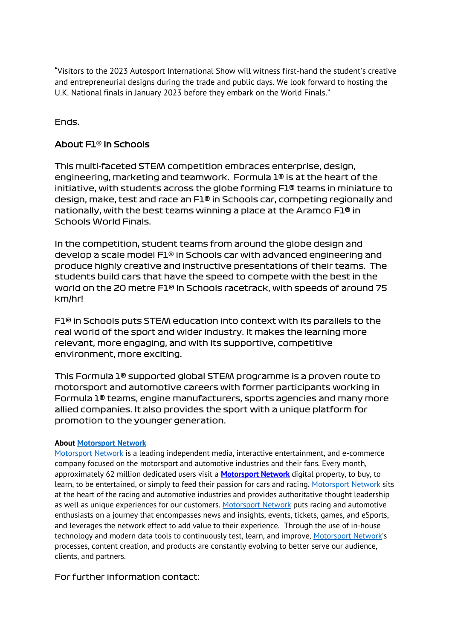"Visitors to the 2023 Autosport International Show will witness first-hand the student's creative and entrepreneurial designs during the trade and public days. We look forward to hosting the U.K. National finals in January 2023 before they embark on the World Finals."

Ends.

## About F1® in Schools

This multi-faceted STEM competition embraces enterprise, design, engineering, marketing and teamwork. Formula 1® is at the heart of the initiative, with students across the globe forming F1® teams in miniature to design, make, test and race an F1® in Schools car, competing regionally and nationally, with the best teams winning a place at the Aramco F1® in Schools World Finals.

In the competition, student teams from around the globe design and develop a scale model F1® in Schools car with advanced engineering and produce highly creative and instructive presentations of their teams. The students build cars that have the speed to compete with the best in the world on the 20 metre F1® in Schools racetrack, with speeds of around 75 km/hr!

F1® in Schools puts STEM education into context with its parallels to the real world of the sport and wider industry. It makes the learning more relevant, more engaging, and with its supportive, competitive environment, more exciting.

This Formula 1® supported global STEM programme is a proven route to motorsport and automotive careers with former participants working in Formula 1® teams, engine manufacturers, sports agencies and many more allied companies. It also provides the sport with a unique platform for promotion to the younger generation.

## **About [Motorsport](https://www.motorsportnetwork.com/) Network**

[Motorsport](https://www.motorsportnetwork.com/) Network is a leading independent media, interactive entertainment, and e-commerce company focused on the motorsport and automotive industries and their fans. Every month, approximately 62 million dedicated users visit a **[Motorsport](https://www.motorsportnetwork.com/) Network** digital property, to buy, to learn, to be entertained, or simply to feed their passion for cars and racing. [Motorsport](https://www.motorsportnetwork.com/) Network sits at the heart of the racing and automotive industries and provides authoritative thought leadership as well as unique experiences for our customers. [Motorsport](https://www.motorsportnetwork.com/) Network puts racing and automotive enthusiasts on a journey that encompasses news and insights, events, tickets, games, and eSports, and leverages the network effect to add value to their experience. Through the use of in-house technology and modern data tools to continuously test, learn, and improve, [Motorsport](https://www.motorsportnetwork.com/) Network's processes, content creation, and products are constantly evolving to better serve our audience, clients, and partners.

For further information contact: